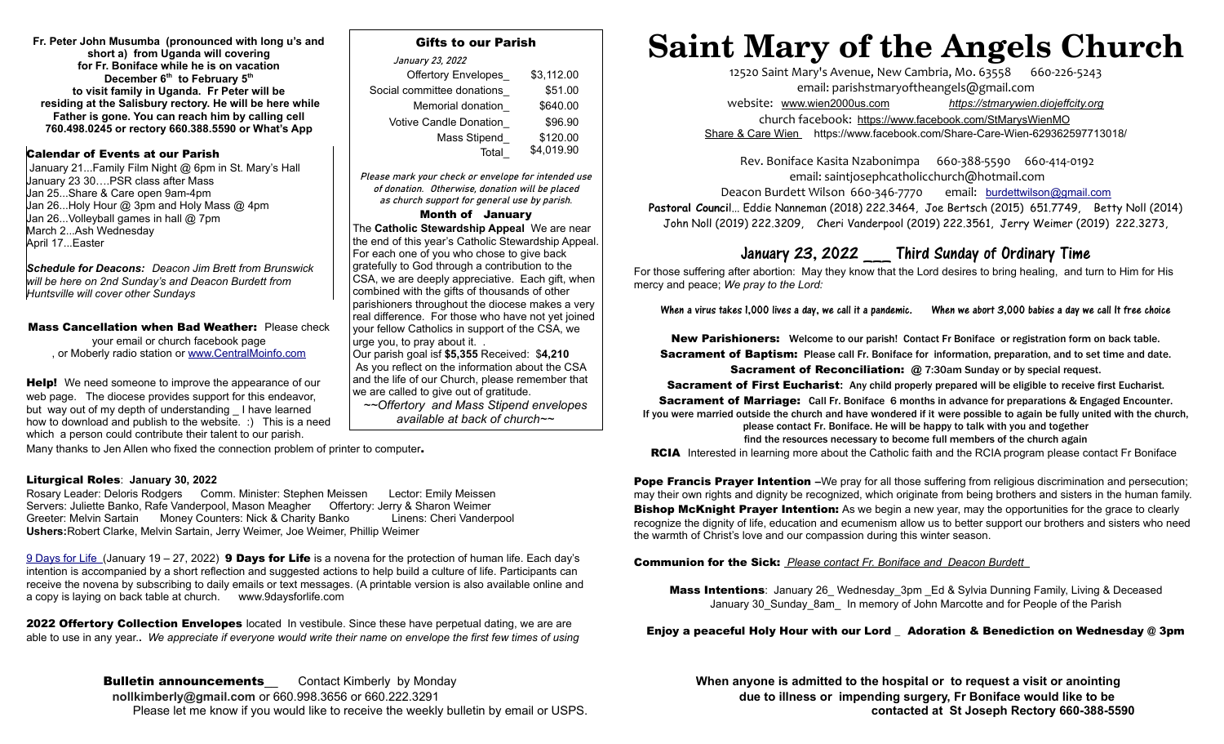**Fr. Peter John Musumba (pronounced with long u's and short a) from Uganda will covering for Fr. Boniface while he is on vacation December 6th to February 5th to visit family in Uganda. Fr Peter will be residing at the Salisbury rectory. He will be here while Father is gone. You can reach him by calling cell 760.498.0245 or rectory 660.388.5590 or What's App**

# Calendar of Events at our Parish

 January 21...Family Film Night @ 6pm in St. Mary's Hall January 23 30….PSR class after Mass Jan 25...Share & Care open 9am-4pm Jan 26...Holy Hour @ 3pm and Holy Mass @ 4pm Jan 26...Volleyball games in hall @ 7pm March 2...Ash Wednesday April 17...Easter

*Schedule for Deacons: Deacon Jim Brett from Brunswick will be here on 2nd Sunday's and Deacon Burdett from Huntsville will cover other Sundays* 

Mass Cancellation when Bad Weather: Please check your email or church facebook page , or Moberly radio station or [www.CentralMoinfo.com](http://www.CentralMoinfo.com/) 

Help! We need someone to improve the appearance of our web page. The diocese provides support for this endeavor, but way out of my depth of understanding I have learned how to download and publish to the website. :) This is a need which a person could contribute their talent to our parish.

# Gifts to our Parish

| January 23, 2022              |            |
|-------------------------------|------------|
| <b>Offertory Envelopes</b>    | \$3,112.00 |
| Social committee donations    | \$51.00    |
| Memorial donation             | \$640.00   |
| <b>Votive Candle Donation</b> | \$96.90    |
| Mass Stipend                  | \$120.00   |
| Total                         | \$4,019.90 |

Please mark your check or envelope for intended use of donation. Otherwise, donation will be placed as church support for general use by parish.

#### Month of January

The **Catholic Stewardship Appeal** We are near the end of this year's Catholic Stewardship Appeal. For each one of you who chose to give back gratefully to God through a contribution to the CSA, we are deeply appreciative. Each gift, when combined with the gifts of thousands of other parishioners throughout the diocese makes a very real difference. For those who have not yet joined your fellow Catholics in support of the CSA, we urge you, to pray about it. . Our parish goal isf **\$5,355** Received: \$**4,210** As you reflect on the information about the CSA and the life of our Church, please remember that we are called to give out of gratitude.

*~~Offertory and Mass Stipend envelopes available at back of church~~*

Many thanks to Jen Allen who fixed the connection problem of printer to computer.

# Liturgical Roles: **January 30, 2022**

Rosary Leader: Deloris Rodgers Comm. Minister: Stephen Meissen Lector: Emily Meissen Servers: Juliette Banko, Rafe Vanderpool, Mason Meagher Offertory: Jerry & Sharon Weimer Greeter: Melvin Sartain Money Counters: Nick & Charity Banko Linens: Cheri Vanderpool **Ushers:**Robert Clarke, Melvin Sartain, Jerry Weimer, Joe Weimer, Phillip Weimer

9 Days for Life (January 19 – 27, 2022) **9 Days for Life** is a novena for the protection of human life. Each day's intention is accompanied by a short reflection and suggested actions to help build a culture of life. Participants can receive the novena by subscribing to daily emails or text messages. (A printable version is also available online and a copy is laying on back table at church. www.9daysforlife.com

**2022 Offertory Collection Envelopes** located In vestibule. Since these have perpetual dating, we are are able to use in any year.**.** *We appreciate if everyone would write their name on envelope the first few times of using*

> **Bulletin announcements** Contact Kimberly by Monday **When anyone is admitted to the hospital or to request a visit or anointing rollkimberly Quertian anyone is admitted to the hospital or to request a visit or anointing ro** Please let me know if you would like to receive the weekly bulletin by email or USPS.**contacted at St Joseph Rectory 660-388-5590**

# **Saint Mary of the Angels Church**

12520 Saint Mary's Avenue, New Cambria, Mo. 63558 660-226-5243 email: [parishstmaryoftheangels@gmail.com](mailto:parishstmaryoftheangels@gmail.com) website: [www.wien2000us.com](http://www.wien2000us.com/) *[https://stmarywien.diojeffcity.org](https://stmarywien.diojeffcity.org/)* church facebook: <https://www.facebook.com/StMarysWienMO>  [Share & Care Wien](https://www.facebook.com/Share-Care-Wien-629362597713018/) https://www.facebook.com/Share-Care-Wien-629362597713018/

Rev. Boniface Kasita Nzabonimpa 660-388-5590 660-414-0192 email: [saintjosephcatholicchurch@hotmail.com](mailto:saintjosephcatholicchurch@hotmail.com)

Deacon Burdett Wilson 660-346-7770 email: [burdettwilson@gmail.com](mailto:burdettwilson@gmail.com)

Pastoral Council... Eddie Nanneman (2018) 222.3464, Joe Bertsch (2015) 651.7749, Betty Noll (2014) John Noll (2019) 222.3209, Cheri Vanderpool (2019) 222.3561, Jerry Weimer (2019) 222.3273,

# January 23, 2022 \_\_\_ Third Sunday of Ordinary Time

For those suffering after abortion: May they know that the Lord desires to bring healing, and turn to Him for His mercy and peace; *We pray to the Lord:*

When a virus takes 1,000 lives a day, we call it a pandemic. When we abort 3,000 babies a day we call It free choice

New Parishioners: Welcome to our parish! Contact Fr Boniface or registration form on back table. Sacrament of Baptism: Please call Fr. Boniface for information, preparation, and to set time and date.

Sacrament of Reconciliation: **@** 7:30am Sunday or by special request.

Sacrament of First Eucharist**:** Any child properly prepared will be eligible to receive first Eucharist.

**Sacrament of Marriage:** Call Fr. Boniface 6 months in advance for preparations & Engaged Encounter. If you were married outside the church and have wondered if it were possible to again be fully united with the church,

> please contact Fr. Boniface. He will be happy to talk with you and together find the resources necessary to become full members of the church again

**RCIA** Interested in learning more about the Catholic faith and the RCIA program please contact Fr Boniface

Pope Francis Prayer Intention **–**We pray for all those suffering from religious discrimination and persecution; may their own rights and dignity be recognized, which originate from being brothers and sisters in the human family. **Bishop McKnight Prayer Intention:** As we begin a new year, may the opportunities for the grace to clearly recognize the dignity of life, education and ecumenism allow us to better support our brothers and sisters who need the warmth of Christ's love and our compassion during this winter season.

#### Communion for the Sick: *Please contact Fr. Boniface and Deacon Burdett*

**Mass Intentions:** January 26\_Wednesday\_3pm \_Ed & Sylvia Dunning Family, Living & Deceased January 30\_Sunday\_8am\_ In memory of John Marcotte and for People of the Parish

# Enjoy a peaceful Holy Hour with our Lord \_ Adoration & Benediction on Wednesday @ 3pm

due to illness or impending surgery, Fr Boniface would like to be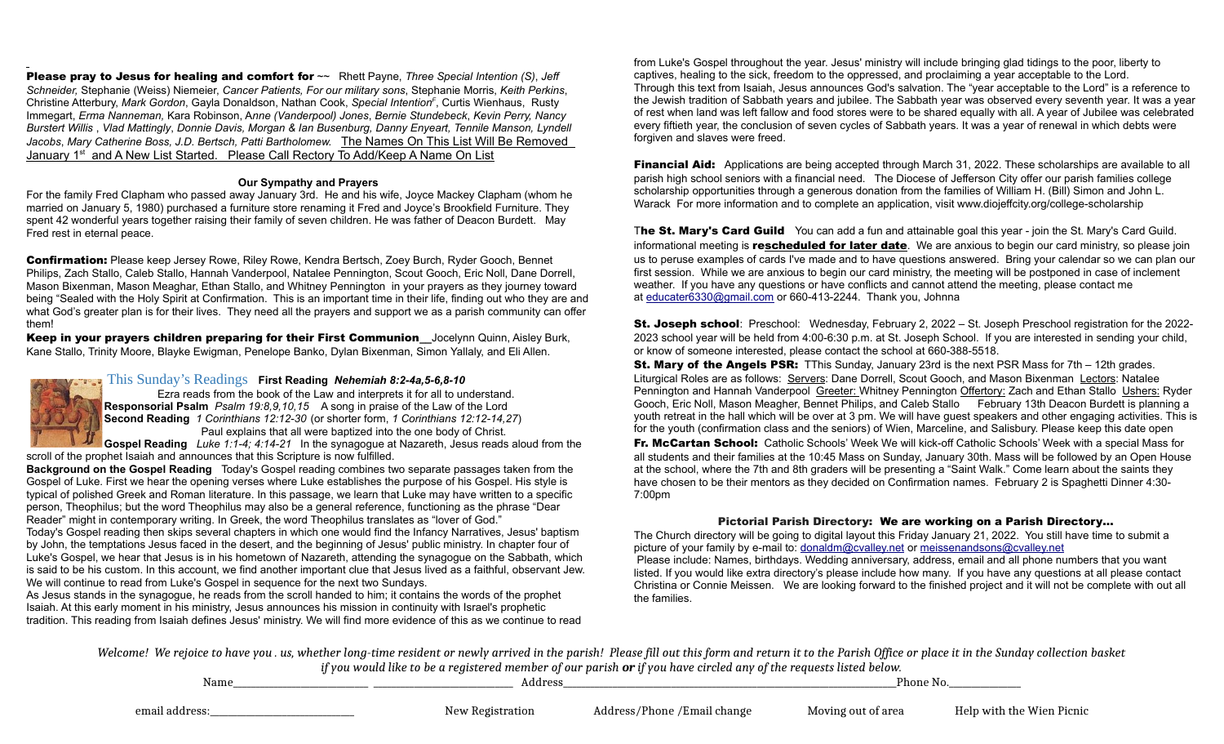Please pray to Jesus for healing and comfort for ~~ Rhett Payne, *Three Special Intention (S)*, *Jeff Schneider,* Stephanie (Weiss) Niemeier, *Cancer Patients, For our military sons*, Stephanie Morris, *Keith Perkins*, Christine Atterbury, *Mark Gordon*, Gayla Donaldson, Nathan Cook, *Special Intention<sup>F</sup>* , Curtis Wienhaus, Rusty Immegart, *Erma Nanneman,* Kara Robinson, A*nne (Vanderpool) Jones*, *Bernie Stundebeck*, *Kevin Perry, Nancy Burstert Willis* , *Vlad Mattingly*, *Donnie Davis, Morgan & Ian Busenburg, Danny Enyeart, Tennile Manson, Lyndell Jacobs*, *Mary Catherine Boss, J.D. Bertsch, Patti Bartholomew.* The Names On This List Will Be Removed January 1<sup>st</sup> and A New List Started. Please Call Rectory To Add/Keep A Name On List

#### **Our Sympathy and Prayers**

For the family Fred Clapham who passed away January 3rd. He and his wife, Joyce Mackey Clapham (whom he married on January 5, 1980) purchased a furniture store renaming it Fred and Joyce's Brookfield Furniture. They spent 42 wonderful years together raising their family of seven children. He was father of Deacon Burdett. May Fred rest in eternal peace.

Confirmation: Please keep Jersey Rowe, Riley Rowe, Kendra Bertsch, Zoey Burch, Ryder Gooch, Bennet Philips, Zach Stallo, Caleb Stallo, Hannah Vanderpool, Natalee Pennington, Scout Gooch, Eric Noll, Dane Dorrell, Mason Bixenman, Mason Meaghar, Ethan Stallo, and Whitney Pennington in your prayers as they journey toward being "Sealed with the Holy Spirit at Confirmation. This is an important time in their life, finding out who they are and what God's greater plan is for their lives. They need all the prayers and support we as a parish community can offer them!

Keep in your prayers children preparing for their First Communion**\_\_**Jocelynn Quinn, Aisley Burk, Kane Stallo, Trinity Moore, Blayke Ewigman, Penelope Banko, Dylan Bixenman, Simon Yallaly, and Eli Allen.

# [This Sunday's Readings](https://bible.usccb.org/bible/readings/010321.cfm) **First Reading** *Nehemiah 8:2-4a,5-6,8-10*



Ezra reads from the book of the Law and interprets it for all to understand. **Responsorial Psalm** *Psalm 19:8,9,10,15* A song in praise of the Law of the Lord **Second Reading** *1 Corinthians 12:12-30* (or shorter form, *1 Corinthians 12:12-14,27*) Paul explains that all were baptized into the one body of Christ.

**Gospel Reading** *Luke 1:1-4; 4:14-21* In the synagogue at Nazareth, Jesus reads aloud from the scroll of the prophet Isaiah and announces that this Scripture is now fulfilled.

**Background on the Gospel Reading** Today's Gospel reading combines two separate passages taken from the Gospel of Luke. First we hear the opening verses where Luke establishes the purpose of his Gospel. His style is typical of polished Greek and Roman literature. In this passage, we learn that Luke may have written to a specific person, Theophilus; but the word Theophilus may also be a general reference, functioning as the phrase "Dear Reader" might in contemporary writing. In Greek, the word Theophilus translates as "lover of God."

Today's Gospel reading then skips several chapters in which one would find the Infancy Narratives, Jesus' baptism by John, the temptations Jesus faced in the desert, and the beginning of Jesus' public ministry. In chapter four of Luke's Gospel, we hear that Jesus is in his hometown of Nazareth, attending the synagogue on the Sabbath, which is said to be his custom. In this account, we find another important clue that Jesus lived as a faithful, observant Jew. We will continue to read from Luke's Gospel in sequence for the next two Sundays.

As Jesus stands in the synagogue, he reads from the scroll handed to him; it contains the words of the prophet Isaiah. At this early moment in his ministry, Jesus announces his mission in continuity with Israel's prophetic tradition. This reading from Isaiah defines Jesus' ministry. We will find more evidence of this as we continue to read from Luke's Gospel throughout the year. Jesus' ministry will include bringing glad tidings to the poor, liberty to captives, healing to the sick, freedom to the oppressed, and proclaiming a year acceptable to the Lord. Through this text from Isaiah, Jesus announces God's salvation. The "year acceptable to the Lord" is a reference to the Jewish tradition of Sabbath years and jubilee. The Sabbath year was observed every seventh year. It was a year of rest when land was left fallow and food stores were to be shared equally with all. A year of Jubilee was celebrated every fiftieth year, the conclusion of seven cycles of Sabbath years. It was a year of renewal in which debts were forgiven and slaves were freed.

Financial Aid: Applications are being accepted through March 31, 2022. These scholarships are available to all parish high school seniors with a financial need. The Diocese of Jefferson City offer our parish families college scholarship opportunities through a generous donation from the families of William H. (Bill) Simon and John L. Warack For more information and to complete an application, visit www.diojeffcity.org/college-scholarship

The St. Mary's Card Guild You can add a fun and attainable goal this year - join the St. Mary's Card Guild. informational meeting is **rescheduled for later date**. We are anxious to begin our card ministry, so please join us to peruse examples of cards I've made and to have questions answered. Bring your calendar so we can plan our first session. While we are anxious to begin our card ministry, the meeting will be postponed in case of inclement weather. If you have any questions or have conflicts and cannot attend the meeting, please contact me at [educater6330@gmail.com](mailto:educater6330@gmail.com) or 660-413-2244. Thank you, Johnna

**St. Joseph school**: Preschool: Wednesday, February 2, 2022 – St. Joseph Preschool registration for the 2022-2023 school year will be held from 4:00-6:30 p.m. at St. Joseph School. If you are interested in sending your child, or know of someone interested, please contact the school at 660-388-5518.

**St. Mary of the Angels PSR:** TThis Sunday, January 23rd is the next PSR Mass for 7th – 12th grades. Liturgical Roles are as follows: Servers: Dane Dorrell, Scout Gooch, and Mason Bixenman Lectors: Natalee Pennington and Hannah Vanderpool Greeter: Whitney Pennington Offertory: Zach and Ethan Stallo Ushers: Ryder Gooch, Eric Noll, Mason Meagher, Bennet Philips, and Caleb Stallo February 13th Deacon Burdett is planning a youth retreat in the hall which will be over at 3 pm. We will have guest speakers and other engaging activities. This is for the youth (confirmation class and the seniors) of Wien, Marceline, and Salisbury. Please keep this date open

Fr. McCartan School: Catholic Schools' Week We will kick-off Catholic Schools' Week with a special Mass for all students and their families at the 10:45 Mass on Sunday, January 30th. Mass will be followed by an Open House at the school, where the 7th and 8th graders will be presenting a "Saint Walk." Come learn about the saints they have chosen to be their mentors as they decided on Confirmation names. February 2 is Spaghetti Dinner 4:30- 7:00pm

# Pictorial Parish Directory: We are working on a Parish Directory…

The Church directory will be going to digital layout this Friday January 21, 2022. You still have time to submit a picture of your family by e-mail to: [donaldm@cvalley.net](mailto:donaldm@cvalley.net) or [meissenandsons@cvalley.net](mailto:meissenandsons@cvalley.net)

 Please include: Names, birthdays. Wedding anniversary, address, email and all phone numbers that you want listed. If you would like extra directory's please include how many. If you have any questions at all please contact Christina or Connie Meissen. We are looking forward to the finished project and it will not be complete with out all the families.

*Welcome! We rejoice to have you . us, whether long-time resident or newly arrived in the parish! Please fill out this form and return it to the Parish Office or place it in the Sunday collection basket if you would like to be a registered member of our parish or if you have circled any of the requests listed below.*

| Name           | Addres           |                            | Phone<br>19 U      |                           |
|----------------|------------------|----------------------------|--------------------|---------------------------|
|                |                  |                            |                    |                           |
| email address: | New Registration | Address/Phone/Email change | Moving out of area | Help with the Wien Picnic |